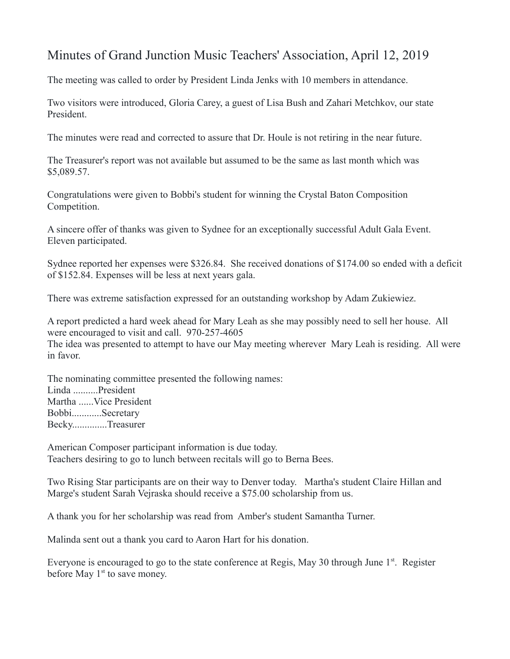## Minutes of Grand Junction Music Teachers' Association, April 12, 2019

The meeting was called to order by President Linda Jenks with 10 members in attendance.

Two visitors were introduced, Gloria Carey, a guest of Lisa Bush and Zahari Metchkov, our state President.

The minutes were read and corrected to assure that Dr. Houle is not retiring in the near future.

The Treasurer's report was not available but assumed to be the same as last month which was \$5,089.57.

Congratulations were given to Bobbi's student for winning the Crystal Baton Composition Competition.

A sincere offer of thanks was given to Sydnee for an exceptionally successful Adult Gala Event. Eleven participated.

Sydnee reported her expenses were \$326.84. She received donations of \$174.00 so ended with a deficit of \$152.84. Expenses will be less at next years gala.

There was extreme satisfaction expressed for an outstanding workshop by Adam Zukiewiez.

A report predicted a hard week ahead for Mary Leah as she may possibly need to sell her house. All were encouraged to visit and call. 970-257-4605

The idea was presented to attempt to have our May meeting wherever Mary Leah is residing. All were in favor.

The nominating committee presented the following names: Linda ..........President Martha ......Vice President Bobbi............Secretary Becky..............Treasurer

American Composer participant information is due today. Teachers desiring to go to lunch between recitals will go to Berna Bees.

Two Rising Star participants are on their way to Denver today. Martha's student Claire Hillan and Marge's student Sarah Vejraska should receive a \$75.00 scholarship from us.

A thank you for her scholarship was read from Amber's student Samantha Turner.

Malinda sent out a thank you card to Aaron Hart for his donation.

Everyone is encouraged to go to the state conference at Regis, May 30 through June  $1<sup>st</sup>$ . Register before May  $1<sup>st</sup>$  to save money.